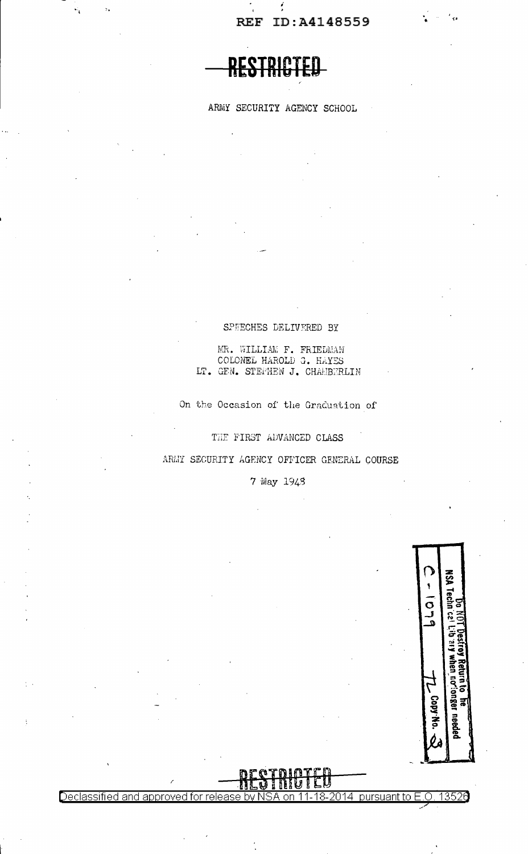# RESTRICTED

ARMY SECURITY AGENCY SCHOOL

## SPEECHES DELIVERED BY

MR. WILLIAM F. FRIEDMAN COLONEL HAROLD G. HAYES LT. GEN. STEFHEN J. CHAMBERLIN

On the Occasion of the Graduation of

THE FIRST ADVANCED CLASS

ARMY SECURITY AGENCY OFFICER GENERAL COURSE

7 May 1943

Declassified and approved for rele



13526

18-2014 pursuant to  $E.O.$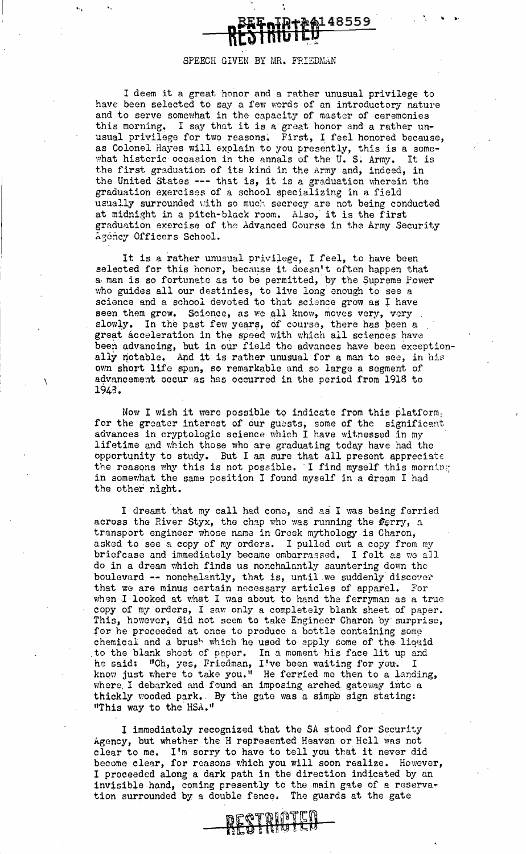## SPEECH GIVEN BY MR. FRIEDMAN

+A4148559

.. •·

<sup>I</sup>deem it a great honor and a rather unusual privilege to have been selected to say a few words of an introductory nature and to serve somewhat in the capacity of master of ceremonies this morning. I say that it is a great honor and a rather unusual privilege for two reasons. First, I feel honored because, as Colonel Hayes will explain to you presently, this is a somewhat historic occasion in the annals of the U. S. Army. It is the first graduation of its kind in the Army and, indeed, in the United States --- that is, it is a graduation wherein the graduation exercises of a school specializing in a field usually surrounded with so much secrecy are not being conducted at midnight in a pitch·black room. Also, it is the first graduation exercise of the Advanced Course in the Army Security Agency Officers School.

It is a rather unusual privilege, I feel, to have been selected for this honor, because it doesn't often happen that a man is so fortunate as to be permitted, by the Supreme Power who guides all our destinies, to live long enough to see a science and a school devoted to that science grow as I have seen them grow. Science, as we all know, moves very, very slowly. In the past few years, of course, there has been a great acceleration in the speed with which all sciences have been advancing, but in our field the advances have been exceptionally notable. And it is rather unusual for a man to see, in his own short life span, so remarkable and so large a segment of advancement occur as has occurred in the period from 1918 to 1943.

\

"·1 "•

Now I wish it were possible to indicate from this platform;. for the greater interest of our guests, some of the significant advances in cryptologic science which I have witnessed in my lifetime and which those who are graduating today have had the opportunity to study. But I am sure that all present appreciate the reasons why this is not possible. I find myself this morning in somewhat the same position I found myself in a dream I had the other night.

I dreamt that my call had come, and as I was being ferried across the River Styx, the chap who was running the  $#_{\mathcal{F}}$ , a. transport engineer whose nama in Greek mythology is Charon; asked to see a copy of my orders. I pulled out a copy from my briefcase and immediately became embarrassed. I felt as we all do in a dream which finds us nonchalnntly sauntering down the boulevard -- nonchalantly, that is, until we suddenly discover that we are minus certain necessary articles of apparel. For when I looked at what I was about to hand the ferryman as a true copy of my orders, I saw only a completely blank sheet of paper. This, however, did not seem to take Engineer Charon by surprise, for he proceeded at once to produce a bottle containing some chemical and a brush which he used to apply some of the liquid chemical and a brush which he used to apply some of the liquid to the blank sheet of poper. In a moment his face lit up and ho said: "Oh, yes, Friedman, I've been waiting for you. I know just where to take you." He ferried me then to a landing, where I debarked and found an imposing arched gateway into a thickly wooded park. By the gate was a simple sign stating: "This way to the HSA."

I immediately recognized that the SA stood for· Security Agency, but whether the H represented Heaven or Hell was not elear to me. I'm sorry to have to tell you that it never did become clear, for reasons which you will soon realize. However, I proceeded along a dark path in the direction indicated by an invisible hand, coming presently to the main gate of a reservation surrounded by a double fence. The guards at the gate

RESTAINTEN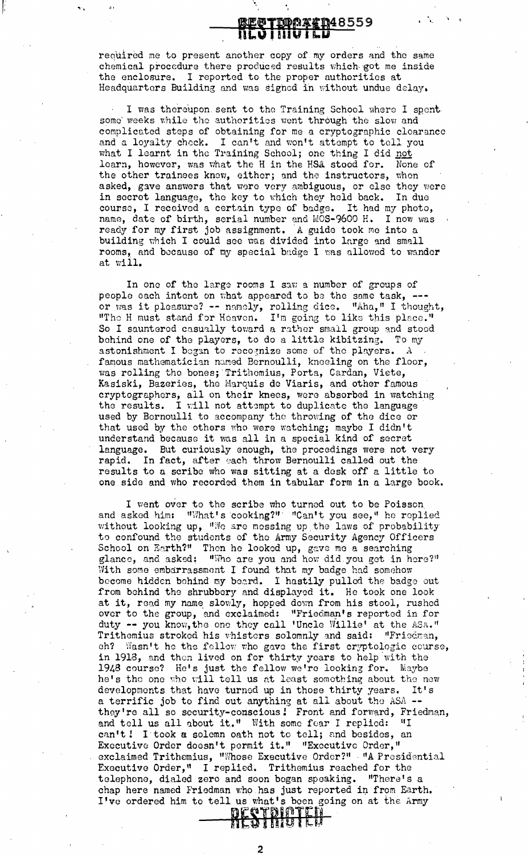## <u>regttoprith485</u>59 ilo i Iiia i Pr

required me to present another copy of my orders and the same chemical procedure there produced results which got me inside the enclosure. I reported to the proper authorities at Headquarters Building and was signed in without undue delay.

f: ...

I was thereupon sent to the Training School where I spent some weeks while the authorities went through the slow and complicated steps of obtaining for me a cryptographic clearance comprisated seeps of cotaning for me a cryptographic created and a loyalty check. I can't and won't attempt to tell you what I learnt in the Training School; one thing I did not learn, however, was what the H in the HSA stood for. None of the other trainees know, either; and the instructors, when asked, gave answers that were very ambiguous, or else they were in secret language, the key to which they held back. In due course, I received a certain type of badge. It had my photo, name, date of birth, serial number and MOS-9600 H. I now was ready for my first job assignment. A guide took me into a building which I could see was divided into large and small rooms, and because of my special badge I was allowed to wander at will.

In one of the large rooms I saw a number of groups of people each intent on what appeared to be the same task, --or was it pleasure? -- namely, rolling dice. "Aha," I thought, "The H must stand for Heaven. I'm going to like this place." So I sauntered casually toward a rather small group and stood behind one of the players, to do a little kibitzing. To my astonishment I began to recognize some of the players. A famous mathematician named Bernoulli, kneeling on the floor, was rolling the bones; Trithemius, Porta, Cardan, Viete, Kasiski, Bazeries, tho Marquis de Viaris, and other famous cryptographers, all on their knees, were absorbed in watching the results. I will not attempt to duplicate the language used by Bernoulli to accompany the throwing of tho dice or that used by the others who were watching; maybe I didn't understand because it was all in a special kind of secret language. But curiously enough, the procedings were not very rapid. In fact, after each throw Bernoulli called out the results to a scribe who was sitting at a desk off a little to one side and who recorded them in tabular form in a large book.

I went over to the scribe who turned out to be Poisson. and asked him: "What's cooking?" "Can't you see," he replied without looking up, "We are messing up the laws of probability to confound the students of the Army Security Agency Officers School on Earth?" Then he looked up, gave me a searching glance, and asked: "Who are you and how did you get in here?" With some embarrassmont I found that my badge had somehow become hidden behind my beard. I hastily pulled the badge out from behind the shrubbery and displayed it. He took one look at it, read my name slowly, hopped down from his stool, rushed over to the group, and exclaimed: "Friedman's reported in for duty -- you know, the one they call 'Uncle Willie' at the ASA." Trithemius stroked his whisters solemnly and said: "Friedman, ch? Wasn't he the fellow who gave the first cryptologic course, in 1918, and then lived on for thirty years to help with the 1948 course? He's just the fellow we're looking for. Maybe he's the one who will tell us at least somothing about the new developments that have turned up in those thirty years. It's developments that have turned up in those thirty years. a terrific job to find out anything at all about the ASA -they're all so security-conscious! Front and forward, Friedman, and tell us all about it." With some fear I replied: "I can't! I took a solemn oath not to tell; and besides, an Executive Order doesn't permit it." "Executive Order,' exclaimed Trithemius, "Whose Executive Order?" 'A Presidential Executive Order," I replied. Trithemius reached for the telephone, dialed zero and soon began speaking. "There's a chap here named Friedman who has just reported in from Earth. I've ordered him to tell us what's been going on at the Army **RESTRIGTED** 

2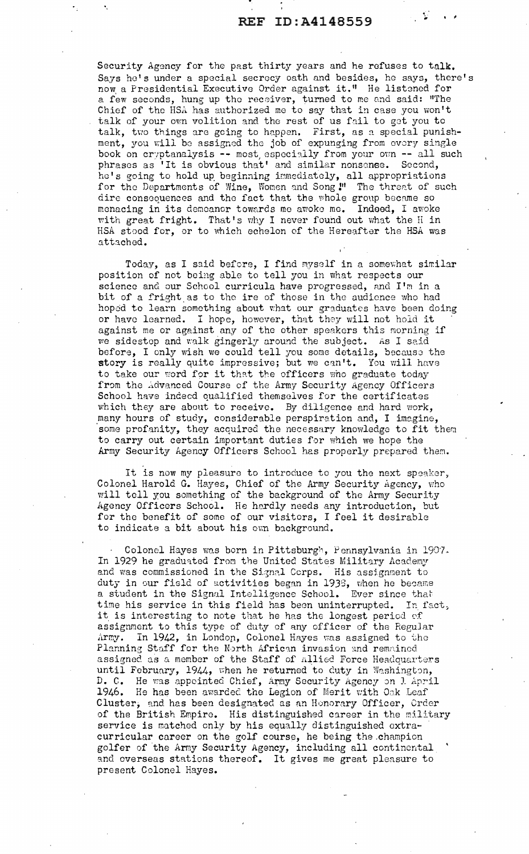Security Agency for tho past thirty years and he refuses to talk. Says he's under a special secrecy oath and besides, he says, there's now a Presidential Executive Order against it." He listened for a few seconds, hung up tho receiver, turned to me and said: "The Chief of the HSA has authorized me to say that in case you won't talk of your own volition and the rest of us fail to get you to talk, two things are going to happen. First, as a special punishment, you will be assigned the job of expunging from every single book on cryptanalysis -- most, especially from your own -- all such phrases as 'It is obvious that' and similar nonsense. Second, he's going to hold up beginning immediately, all appropriations for the Departments of Wine, Women and Song <sup>1</sup> The threat of such dire consequences and the fact that the whole group became so menacing in its demeanor towards me awoke me. Indeed, I awoke with great fright. That's why I never found out what the H in HSA stood for, or to which echelon of the Hereafter the HSA was attached.

Today, as I said before, I find myself in a somewhat similar position of not being able to tell you in what respects our science and our School curricula have progressed, and I'm in a bit of a fright as to the ire of those in the audience who had hoped to learn something about what our graduates have been doing or have learned. I hope, however, that they will not hold it against me or against any of the other speakers this morning if we sidestep and walk gingerly around the subject. As I said before, I only wish we could tell you some details, because the story is really quite impressive; but we can't. You will have to take our word for it that the officers who graduate today from the Advanced Course of the Army Security Agency Officers School have indeed qualified themselves for the certificates which they are about to receive. By diligence and hard work, many hours of study, considerable perspiration and, I imagine, some profanity, they acquired the necessary knowledge to fit them to carry out certain important duties for which we hope the Army Security Agency Officers School has properly prepared them.

It is now my pleasure to introduce to you the next speaker, Colonel Harold G. Hayes, Chief of the Army Security Agency, who will tell you something of the background of the Army Security Agency Officers School. He hardly needs any introduction, but for the benefit of some of our visitors, I feel it desirable to indicate a bit about his own background.

Colonel Hayes was born in Pittsburgh, Pennsylvania in 1907. In 1929 he graduated from the United States Military Academy and was commissioned in the Signal Corps. His assignment to duty in our field of activities began in 1938, when he became a student in the Signal Intelligence School. Ever since that time his service in this field has been uninterrupted. In fact, it is interesting to note that he has the longest period *of*  assignment to this type of duty of any officer of the Regular Army. In 1942, in London, Colonel Hayes was assigned to the Planning Staff for the North African invasion and remained assigned as a member of the Staff of Allied Force Headquarters until February, 1944, when he returned to duty in Washington, D. C. He was appointed Chief, Army Security Agency on J. April 1946. He has been awarded the Legion of Merit with Oak Leaf Cluster, and has been designated as an Honorary Officer, Crder of the British Empire. His distinguished career in the military service is matched only by his equally distinguished extracurricular career on the golf course, he being the.champion golfer of the Army Security Agency, including all continental and overseas stations thereof. It gives me great pleasure to present Colonel Hayes.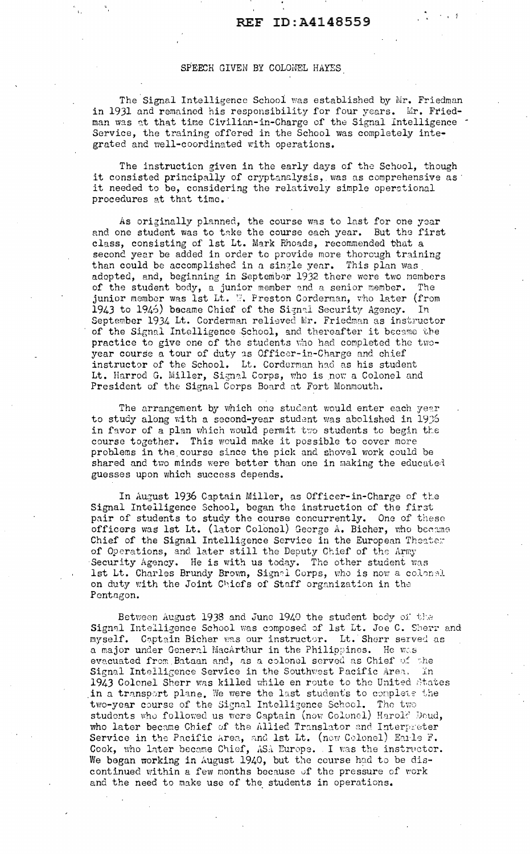## SPEECH GIVEN BY COLONEL HAYES

I.

The Signal Intelligence School was established by Mr. Friedman in 1931 and remained his responsibility for four years. Mr. Friedman was at that time Civilian-in-Charge of the Signal Intelligence Service, the training offered in the School was completely integrated and well-coordinated with operations.

The instruction given in the early days of the School, though it consisted principally of cryptanalysis, was *as* comprehensive as· it needed to be, considering the relatively simple operational procedures at that time. ·

As originally planned, the course was to last for one year and one student was to take the course each year. But the first class, consisting of 1st Lt. Mark Rhoads, recommended that a second year be added in order to provide more thorough training than could be accomplished in a single year. This plan was adopted, and, beginning in September 1932 there were two members of the student body, a junior member and a senior member. The junior member was 1st Lt. W. Preston Corderman, who later (from 1943 to 1946) became Chief of the Signal Security Agency. In September 1934 Lt. Corderman relieved Mr. Friedman as instructor of the Signal Intelligence School, and thereafter it became the practice to give one of the students who had completed the twoyear course a tour of duty is Officer-in-Charge and chief instructor of the School. Lt. Corderman had as his student Lt. Harrod G. Miller, Signal Corps, who is now a Colonel and President of the Signal Corps Board at Fort Monmouth.

The arrangement by which one student would enter each year. to study along with a second-year student was abolished in 1936 in favor of a plan which would permit two students to begin the course together. This would make it possible to cover more problems in the.course since the pick and shovel work could be shared and two minds were better than one in making the educated guesses upon which success depends.

In August 1936 Captain Miller, as Officer-in-Charge of the Signal Intelligence School, began the instruction of the first pair of students to study the course concurrently. One of these officers was lst Lt. (later Colonel) George A. Bicher, who became Chief of the Signal Intelligence Service in the European Theater of Operations, and later still the Deputy Chief of the Army Security Agency. He is with us today. The other student was lst Lt. Charles Brundy Brown, Signal Corps, who is now a colonal on duty with the Joint Chiefs of Staff organization in the Pentagon.

Between August 1938 and June 1940 the student body of the Signal Intelligence School was composed of 1st Lt. Joe C. Sherr and myself. Captain Bicher was our instructor. Lt. Sherr served as a major under General MacArthur in the Philippines. He was evacuated from Bataan and, as a colonel served as Chief of the Signal Intelligence Service in the Southwest Pacific Area. In 1943 Colonel Sherr was killed while en route to the United States in a transport plane. We were the last students to complete the two-year course of the Signal Intelligence School. The two students who followed us were Captain (now Colonel) Harol? Doud, who later became Chief of the Allied Translator and Interpreter Service in the Pacific area, and lst Lt. (new Colonel) Earle  $F$ . Cook, who later became Chief, ASA Europe. I was the instructor. We began working in August 1940, but the course had to be discontinued within a few months because of the pressure of work and the need to make use of the students in operations.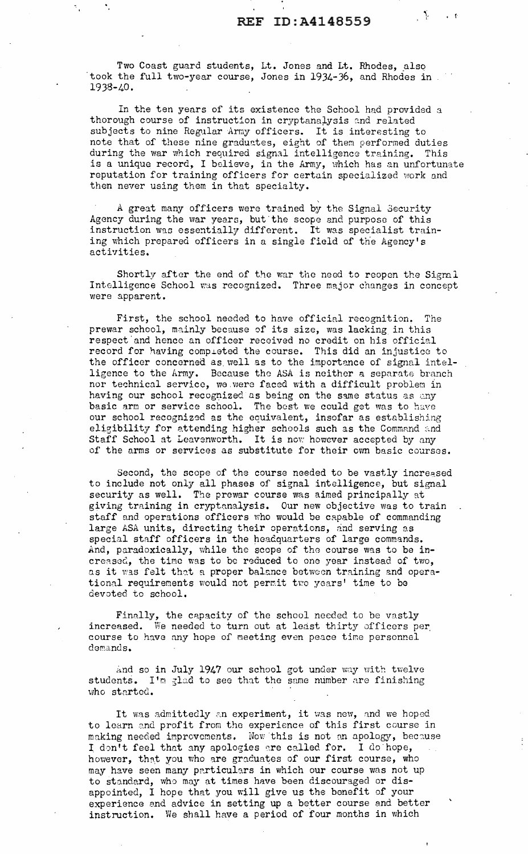$\mathcal{A}^{\mathcal{A}}$ 

 $\mathbf{r}$ 

Two Coast guard students, Lt. Jones and Lt. Rhodes, also took the full two-year course, Jones in 1934-36, and Rhodes in 1938-40.

In the ten years of its existence the School had provided a thorough course of instruction in cryptanalysis and related subjects to nine Regular Army officers. It is interesting to note that of these nine graduates, eight of them performed duties during the war which required signal intelligence training. This is a unique record, I believe, in the Army, which has an unfortunate reputation for training officers for certain specialized work and then never using them in that specialty.

A great many officers were trained by the Signal Security Agency during the war years, but the scope and purpose of this instruction was essentially different. It was specialist training which prepared officers in a single field of the Agency's activities.

Shortly after the end of the war the need to reopen the Sigmal Intelligence School was recognized. Three major changes in concept were apparent.

First, the school needed to have official recognition. The prewar school, mainly because of its size, was lacking in this respect and hence an officer received no credit on his official record for having compreted the course. This did an injustice to the officer concerned as well as to the importance of signal intelligence to the Army. Because tho ASA is neither a separate branch nor technical service, we were faced with a difficult problem in having our school recognized as being on the same status as any basic arm or service school. The best we could get was to have our school recognized as the equivalent, insofar as establishing eligibility for attending higher schools such as the Command and Staff School at Leavenworth. It is now however accepted by any of the arms or services as substitute for their own basic courses.

Second, the scope of the course needed to be vastly increased to include not only all phases of signal intelligence, but signal security as well. The prewar course was aimed principally at giving training in cryptanalysis. Our new objective was to train staff and operations officers who would be capable of commanding large ASA units, directing their operations, and serving as special staff officers in the headquarters of large commands. And, paradoxically, while the scope of the course was to be increased, the time was to be reduced to one year instead of two, as it was felt that a proper balance between training and operational requirements would not permit two years' time to be devoted to school.

Finally, the capacity of the school needed to be vastly increased. We needed to turn out at least thirty officers per course to have any hope of meeting even peace time personnel demands.

And so in July 1947 our school got under way with twelve students. I'm glad to see that the same number are finishing who started.

It was admittedly an experiment, it was new, and we hoped to learn and profit from the experience of this first course in making needed improvements. Now this is not an apology, because I don't feel that any apologies are called for. I do hope, however, that you who are graduates of our first course, who may have seen many particulars in which our course was not up to standard, who may at times have been discouraged or disappointed, I hope that you will give us the benefit of your experience and advice in setting up a better course and better instruction. We shall have a period of four months in which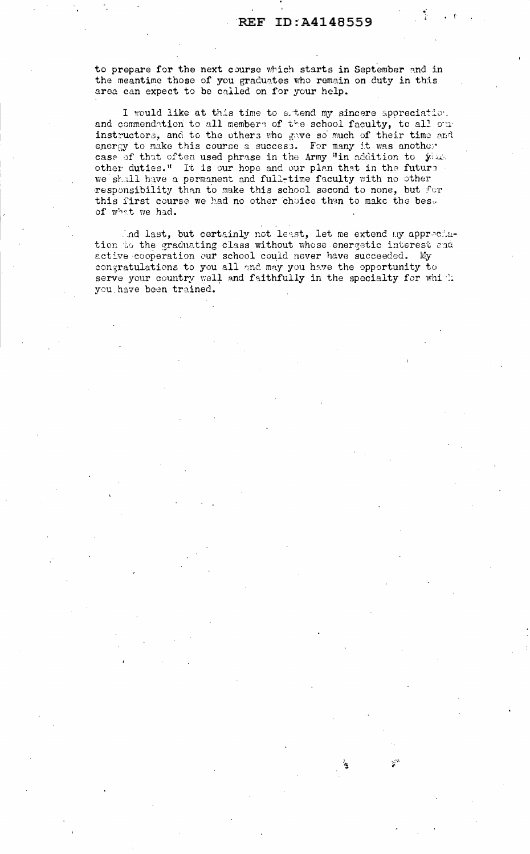to prepare for the next course which starts in September and in the meantime those of you graduates who remain on duty in this area can expect to be called on for your help.

I would like at this time to estend my sincere appreciation. and commendation to all members of the school faculty, to all our instructors, and to the others who gave so much of their time and energy to make this course a success. For many it was another case of that often used phrase in the Army "in addition to you. other duties." It is our hope and our plan that in the future we shall have a permanent and full-time faculty with no other responsibility than to make this school second to none, but for this first course we had no other choice than to make the best of what we had.

And last, but certainly not least, let me extend my appreciation to the graduating class without whose energetic interest and active cooperation our school could never have succeeded. My congratulations to you all and may you have the opportunity to serve your country well and faithfully in the specialty for which you have been trained.

Ń.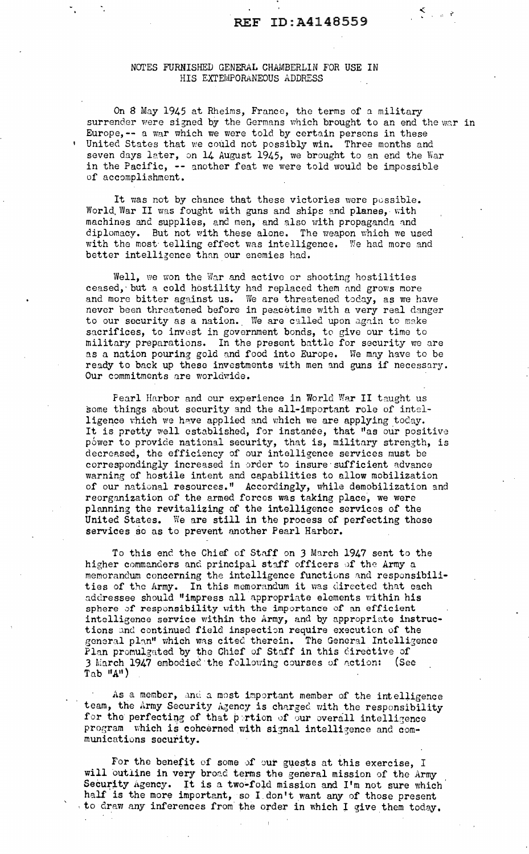1i j~

## NOTES FURNISHED GENERAL CHAMBERLIN FOR USE IN HIS EXTEMPORANEOUS ADDRESS

On 8 May 1945 at Rheims, France, the terms of a military surrender were signed by the Germans which brought to an end the war in Europe,-- a war which we were told by certain persons in these United States that we could not possibly win. Three months and seven days later, on 14 August 1945, we brought to an end the War in the Pacific, -- another feat we were told would be impossible of accomplishment.

It was not by chance that these victories were possible. World. War II was fought with guns and ships and planes, with machines and supplies, and men, and also with propaganda and diplomacy. But not with these alone. The weapon which we used with the most telling effect was intelligence. We had more and better intellizence than our enemies had.

Well, we won the War and active or shooting hostilities ceased, but a cold hostility had replaced them and grows more and more bitter against us. We are threatened today, as we have never been threatened before in peacetime with a very real danger to our security as a nation. We are called upon again to make sacrifices, to invest in government bonds, to give our time to military preparations. In the present battle for security we are as a nation pouring gold and food into Europe. We may have to be ready to back up these investments with men and guns if necessary. Our commitments are worldwide.

Pearl Harbor and our experience in World War II taught us some things about security and the all-important role of intslligence which we have applied and which we are applying today. It is pretty well established, for instance, that "as our positive power to provide national security, that is, military strength, is decreased, the efficiency of our intelligence services must be correspondingly increased in order to insure sufficient advance warning of hostile intent and capabilities to allow mobilization of our national resources." Accordingly, while demobilization and reorganization of the armed forces was taking place, we were planning the revitalizing of the intelligence services of the United States. We are still in the process of perfecting these services so as to prevent another Pearl Harbor.

To this end the Chief of Staff on 3 March 1947 sent to the higher commanders and principal staff officers of the Army a memorandum concerning the intelligence functions and responsibili-<br>ties of the Army. In this memorandum it was directed that each addressee should "impress all appropriate elements within his sphere of responsibility with the importance of an efficient intelligence service within the Army, and by appropriate instructions ind continued field inspection require execution of the general plan" which was cited therein. The General Intelligence Plan promulgated by the Chief of Staff in this directive of 3 March 1947 embodied the following courses of action: (See  $Tab$   $^{\text{II}}A^{\text{II}}$ )

As a member, and a most important member of the intelligence team, the Army Security Agency is charged with the responsibility for the perfecting of that portion of our overall intelligence program which is cohcerned with signal intelligence and communications security.

For the benefit of some of our guests at this exercise, I will outline in very broad terms the general mission of the Army Security Agency. It is a two-fold mission and I'm not sure which half is the more important, so I.don't want any of those present , to draw any inferences from the order in which I give them today.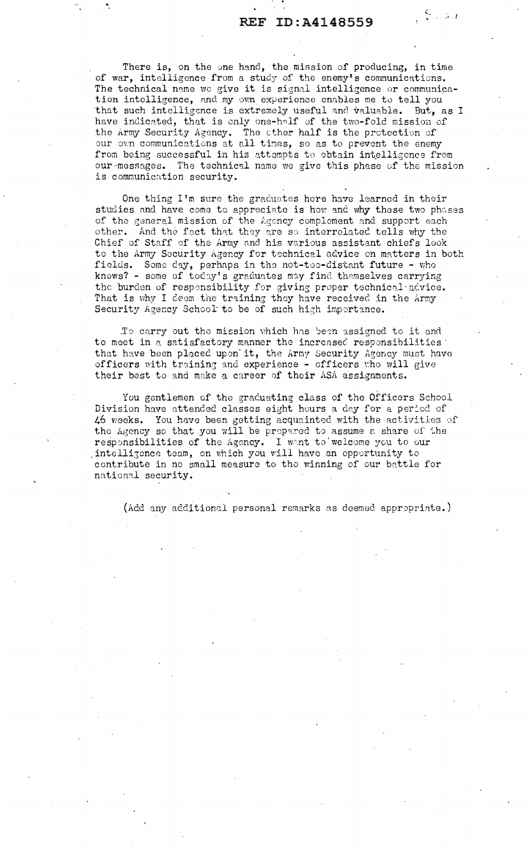$\|\xi\|_{\mathbb{R}^d}$ 

There is, on the one hand, the mission of producing, in time of war, intelligence from a study of the enemy's communications. The technical name we give it is signal intelligence or communication intelligence, and my own experience enables me to tell you that such intelligence is extremely useful and valuable. But, as I have indicated, that is only one-half of the two-fold mission of the Army Security Agency. The other half is the protection of our own communications at all times, so as to prevent the enemy from being successful in his attempts to obtain intelligence from our messages. The technical name we give this phase of the mission is communication security.

One thing I'm sure the graduates here have learned in their studies and have come to appreciate is how and why these two phases of the general mission of the Agency complement and support each other. And the fact that they are so interrelated tells why the Chief of Staff of the Army and his various assistant chiefs look to the Army Security Agency for technical advice on matters in both fields. Some day, perhaps in the not-too-distant future - who knows? - some of today's graduates may find themselves carrying the burden of responsibility for giving proper technical advice. That is why I deem the training they have received in the Army Security Agency School to be of such high importance.

To carry out the mission which has been assigned to it and to meet in a satisfactory manner the increased responsibilities that have been placed upon it, the Army Security Agency must have officers with training and experience - officers who will give their best to and make a career of their ASA assignments.

You gentlemen of the graduating class of the Officers School Division have attended classes eight hours a day for a period of 46 weeks. You have been getting acquainted with the activities of the Agency so that you will be prepared to assume a share of the responsibilities of the Agency. I want to welcome you to our intelligence team, on which you will have an opportunity to contribute in no small measure to the winning of our battle for national security.

(Add any additional personal remarks as deemed appropriate.)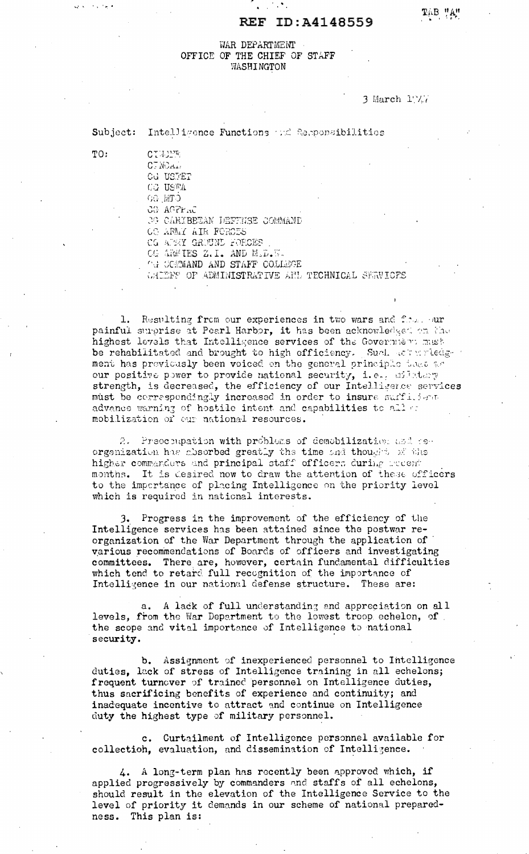## REF ID: A4148559

## WAR DEPARTMENT OFFICE OF THE CHIEF OF STAFF WASHINGTON

3 March  $1^n$ /.

### Subject: Intelligence Functions and Reponsibilities

CTWING CT NOAL! **CG USTET CG USTA CEM OG** 

CG ACFraC **39 CARIBEEAN DEFFNSE COMMAND** 

OC ARMY AIR FORCES

CG ATENY GROUND FORCES

OG ARMIES Z.I. AND M.D.W.

**CG COMMAND AND STAFF COLLEGE** 

GALEFS OF ADMINISTRATIVE AND TECHNICAL SERVICES

1. Resulting from our experiences in two wars and flow. our painful surprise at Pearl Harbor, it has been acknowledged on the highest levels that Intelligence services of the Government mush be rehabilitated and brought to high efficiency. Such actualledge ment has previously been voiced on the general principle teat as our positive power to provide national security, i.e., milatary strength, is decreased, the efficiency of our Intelligence services must be correspondingly increased in order to insure sufficient advance warning of hostile intent and capabilities to allow mobilization of our national resources.

2. Prescoupation with problems of demobilization and reorganization has absorbed greatly the time and thought of the higher commanders and principal staff officers during modent months. It is desired now to draw the attention of these officers to the impertance of placing Intelligence on the priority level which is required in national interests.

3. Progress in the improvement of the efficiency of the Intelligence services has been attained since the postwar reorganization of the War Department through the application of various recommendations of Boards of officers and investigating committees. There are, however, certain fundamental difficulties which tend to retard full recognition of the importance of Intelligence in our national defense structure. These are:

a. A lack of full understanding and appreciation on all levels, from the War Department to the lowest troop echelon, of the scope and vital importance of Intelligence to national security.

b. Assignment of inexperienced personnel to Intelligence duties, lack of stress of Intelligence training in all echelons; frequent turnover of trained personnel on Intelligence duties, thus sacrificing benefits of experience and continuity; and inadequate incentive to attract and continue on Intelligence duty the highest type of military personnel.

c. Curtailment of Intelligence personnel available for collection, evaluation, and dissemination of Intelligence.

4. A long-term plan has recently been approved which, if applied progressively by commanders and staffs of all echelons, should result in the elevation of the Intelligence Service to the level of priority it demands in our scheme of national preparedness. This plan is:

TO:

government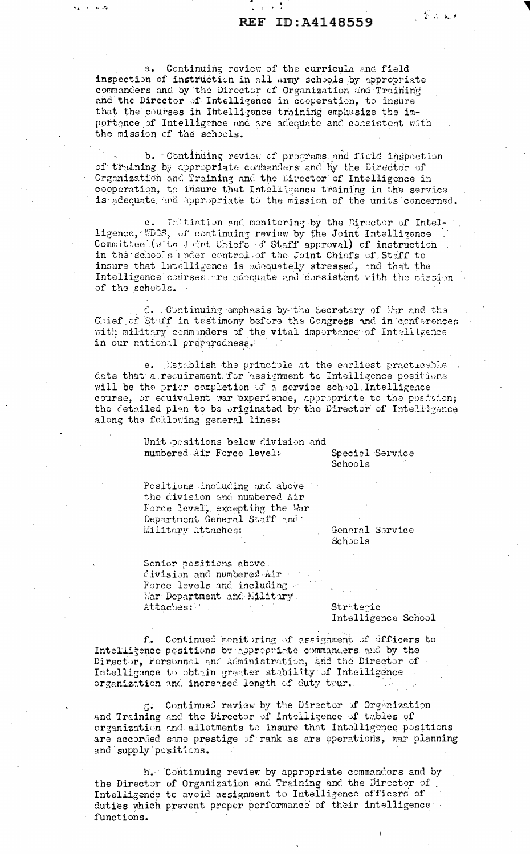## REF ID: A4148559

 $\mathbb{R}^n$  , and

a. Centinuing review of the curricula and field inspection of instruction in all army schools by appropriate commanders and by the Director of Organization and Training and the Director of Intelligence in cooperation, to insure that the courses in Intelligence training emphasize the importance of Intelligence and are adequate and consistent with the mission of the schools.

March 1960-20

b. Continuing review of programs and field inspection of training by appropriate commanders and by the Director of Organization and Training and the Director of Intelligence in cooperation, to insure that Intelligence training in the service is adequate and appropriate to the mission of the units concerned.

Initiation and monitoring by the Director of Intel $c_{\bullet}$ ligence, WDCS, of continuing review by the Joint Intelligence Committee (with Juint Chiefs of Staff approval) of instruction in the schools under control of the Joint Chiefs of Staff to insure that Intelligence is adequately stressed, and that the Intelligence courses are adequate and consistent with the mission of the schools.

C. Continuing emphasis by the Secretary of War and the Chief of Staff in testimony before the Congress and in conferences with military commanders of the vital importance of Intelligence in our national preparedness.

e. Establish the principle at the earliest practicable date that a recuirement for assignment to Intelligence positions will be the prior completion of a service school Intelligence course, or equivalent war experience, appropriate to the position; the detailed plan to be eriginated by the Director of Intellizence along the following general lines:

> Unit positions below division and numbered Air Force level:

Special Service Schools

Positions including and above the division and numbered Air Force level, excepting the War Department General Staff and Military Attaches:

General Service Schools

Senior positions above. division and numbered nir Force levels and including a War Department and Military. Attaches:

Strategic Intelligence School.

 $f_{\bullet}$ Continued monitoring of assignment of officers to Intelligence positions by appropriate commanders and by the Director, Personnel and Administration, and the Director of Intelligence to obtain greater stability of Intelligence organization and increased length of duty tour.

g. Continued review by the Director of Organization and Training and the Director of Intelligence of tables of organization and allotments to insure that Intelligence positions are accorded same prestige of rank as are operations, war planning and supply positions.

h. Continuing review by appropriate commanders and by the Director of Organization and Training and the Director of Intelligence to avoid assignment to Intelligence officers of duties which prevent proper performance of their intelligence functions.